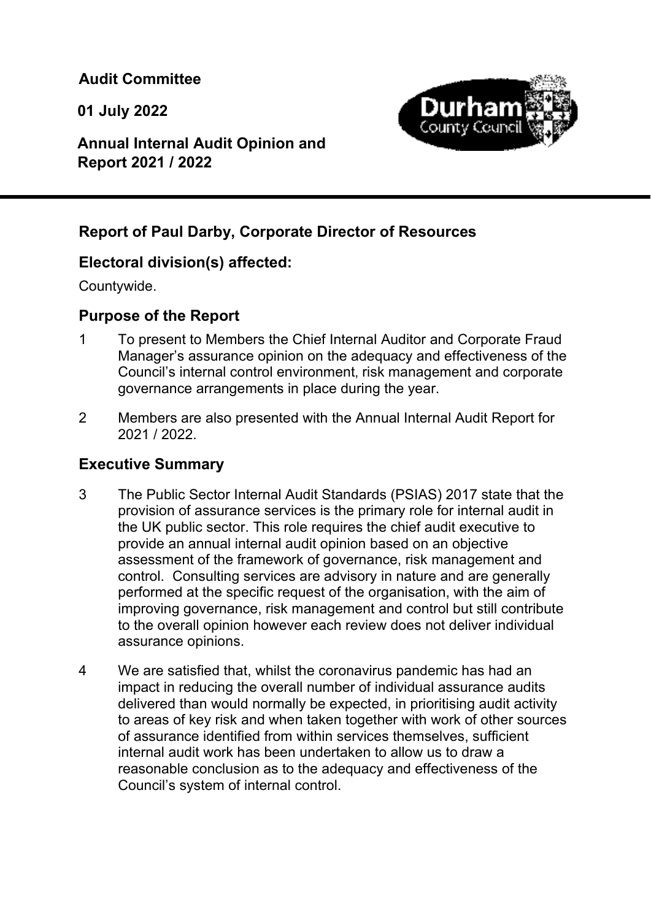**Audit Committee** 

**01 July 2022** 

**Annual Internal Audit Opinion and Report 2021 / 2022** 



## **Report of Paul Darby, Corporate Director of Resources**

## **Electoral division(s) affected:**

Countywide.

j

## **Purpose of the Report**

- 1 To present to Members the Chief Internal Auditor and Corporate Fraud Manager's assurance opinion on the adequacy and effectiveness of the Council's internal control environment, risk management and corporate governance arrangements in place during the year.
- 2 Members are also presented with the Annual Internal Audit Report for 2021 / 2022.

## **Executive Summary**

- 3 The Public Sector Internal Audit Standards (PSIAS) 2017 state that the provision of assurance services is the primary role for internal audit in the UK public sector. This role requires the chief audit executive to provide an annual internal audit opinion based on an objective assessment of the framework of governance, risk management and control. Consulting services are advisory in nature and are generally performed at the specific request of the organisation, with the aim of improving governance, risk management and control but still contribute to the overall opinion however each review does not deliver individual assurance opinions.
- 4 We are satisfied that, whilst the coronavirus pandemic has had an impact in reducing the overall number of individual assurance audits delivered than would normally be expected, in prioritising audit activity to areas of key risk and when taken together with work of other sources of assurance identified from within services themselves, sufficient internal audit work has been undertaken to allow us to draw a reasonable conclusion as to the adequacy and effectiveness of the Council's system of internal control.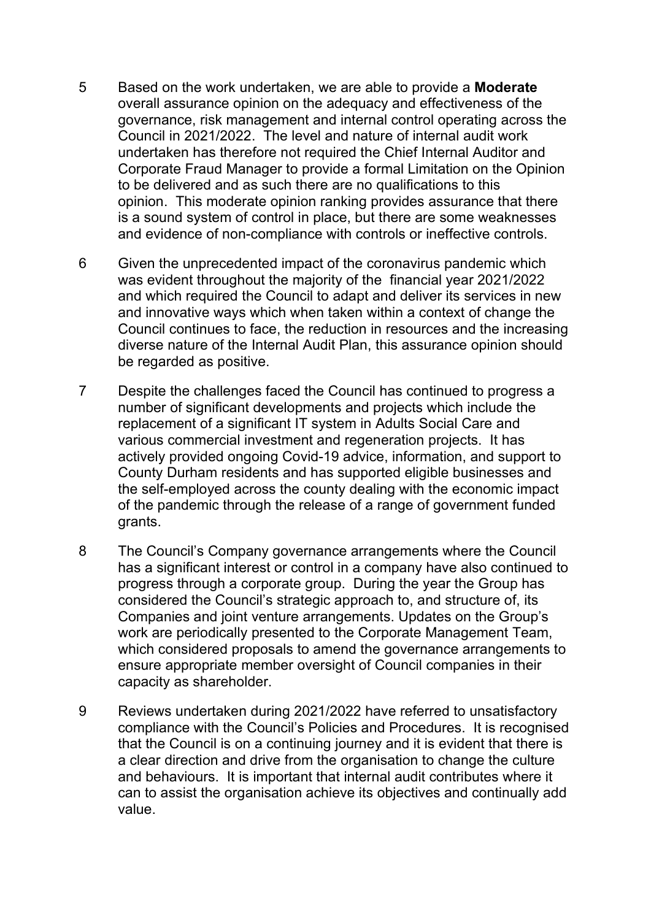- 5 Based on the work undertaken, we are able to provide a **Moderate** overall assurance opinion on the adequacy and effectiveness of the governance, risk management and internal control operating across the Council in 2021/2022. The level and nature of internal audit work undertaken has therefore not required the Chief Internal Auditor and Corporate Fraud Manager to provide a formal Limitation on the Opinion to be delivered and as such there are no qualifications to this opinion. This moderate opinion ranking provides assurance that there is a sound system of control in place, but there are some weaknesses and evidence of non-compliance with controls or ineffective controls.
- 6 Given the unprecedented impact of the coronavirus pandemic which was evident throughout the majority of the financial year 2021/2022 and which required the Council to adapt and deliver its services in new and innovative ways which when taken within a context of change the Council continues to face, the reduction in resources and the increasing diverse nature of the Internal Audit Plan, this assurance opinion should be regarded as positive.
- 7 Despite the challenges faced the Council has continued to progress a number of significant developments and projects which include the replacement of a significant IT system in Adults Social Care and various commercial investment and regeneration projects. It has actively provided ongoing Covid-19 advice, information, and support to County Durham residents and has supported eligible businesses and the self-employed across the county dealing with the economic impact of the pandemic through the release of a range of government funded grants.
- 8 The Council's Company governance arrangements where the Council has a significant interest or control in a company have also continued to progress through a corporate group. During the year the Group has considered the Council's strategic approach to, and structure of, its Companies and joint venture arrangements. Updates on the Group's work are periodically presented to the Corporate Management Team, which considered proposals to amend the governance arrangements to ensure appropriate member oversight of Council companies in their capacity as shareholder.
- 9 Reviews undertaken during 2021/2022 have referred to unsatisfactory compliance with the Council's Policies and Procedures. It is recognised that the Council is on a continuing journey and it is evident that there is a clear direction and drive from the organisation to change the culture and behaviours. It is important that internal audit contributes where it can to assist the organisation achieve its objectives and continually add value.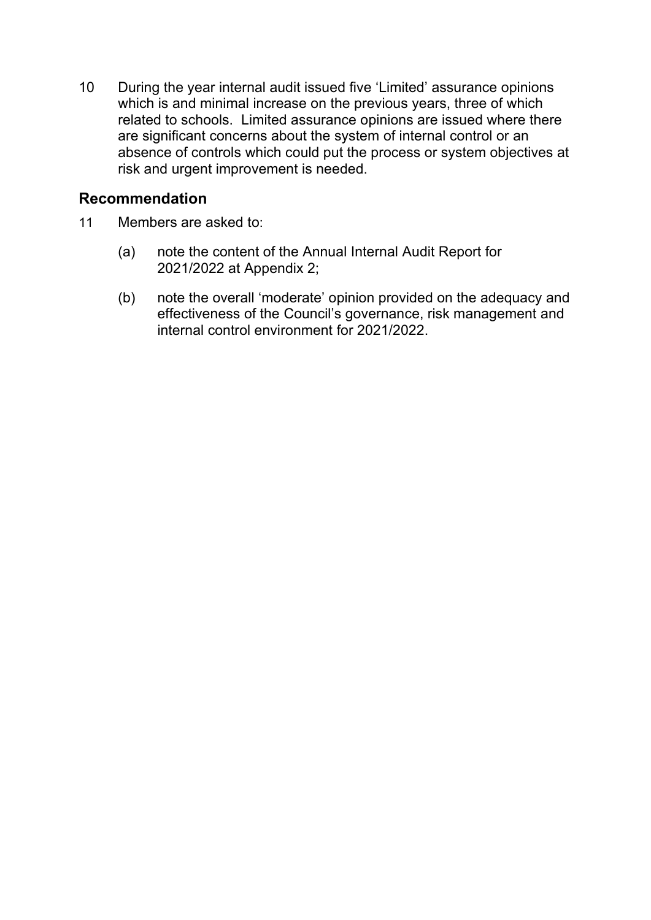10 During the year internal audit issued five 'Limited' assurance opinions which is and minimal increase on the previous years, three of which related to schools. Limited assurance opinions are issued where there are significant concerns about the system of internal control or an absence of controls which could put the process or system objectives at risk and urgent improvement is needed.

## **Recommendation**

- 11 Members are asked to:
	- (a) note the content of the Annual Internal Audit Report for 2021/2022 at Appendix 2;
	- (b) note the overall 'moderate' opinion provided on the adequacy and effectiveness of the Council's governance, risk management and internal control environment for 2021/2022.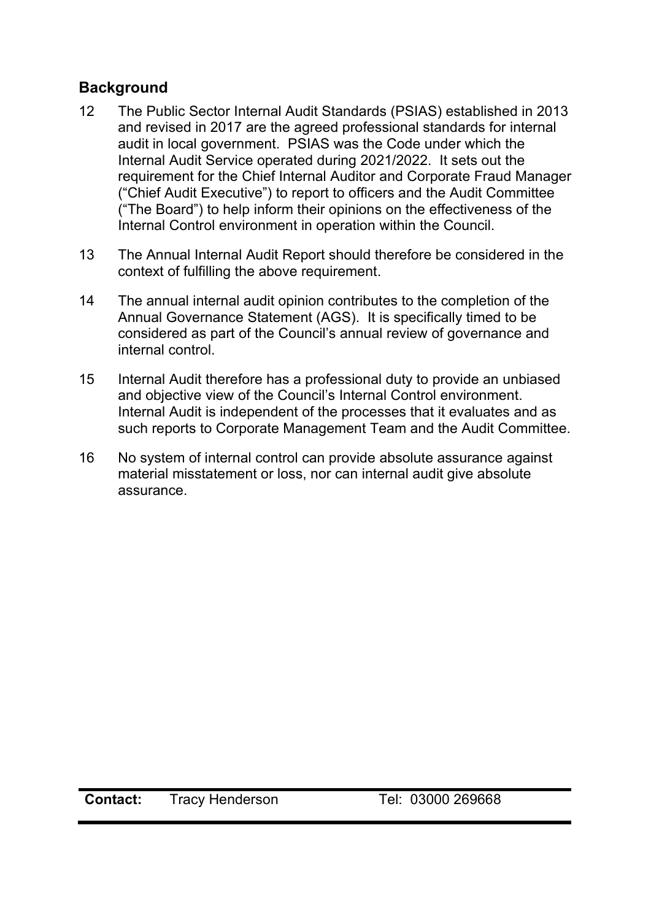## **Background**

- 12 The Public Sector Internal Audit Standards (PSIAS) established in 2013 and revised in 2017 are the agreed professional standards for internal audit in local government. PSIAS was the Code under which the Internal Audit Service operated during 2021/2022. It sets out the requirement for the Chief Internal Auditor and Corporate Fraud Manager ("Chief Audit Executive") to report to officers and the Audit Committee ("The Board") to help inform their opinions on the effectiveness of the Internal Control environment in operation within the Council.
- 13 The Annual Internal Audit Report should therefore be considered in the context of fulfilling the above requirement.
- 14 The annual internal audit opinion contributes to the completion of the Annual Governance Statement (AGS). It is specifically timed to be considered as part of the Council's annual review of governance and internal control.
- 15 Internal Audit therefore has a professional duty to provide an unbiased and objective view of the Council's Internal Control environment. Internal Audit is independent of the processes that it evaluates and as such reports to Corporate Management Team and the Audit Committee.
- 16 No system of internal control can provide absolute assurance against material misstatement or loss, nor can internal audit give absolute assurance.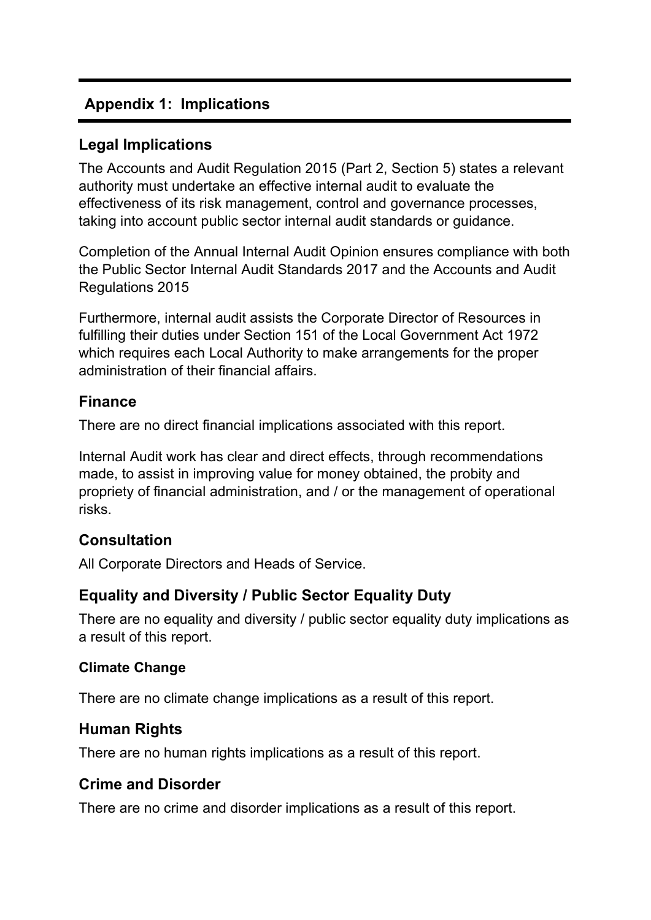## **Appendix 1: Implications**

## **Legal Implications**

The Accounts and Audit Regulation 2015 (Part 2, Section 5) states a relevant authority must undertake an effective internal audit to evaluate the effectiveness of its risk management, control and governance processes, taking into account public sector internal audit standards or guidance.

Completion of the Annual Internal Audit Opinion ensures compliance with both the Public Sector Internal Audit Standards 2017 and the Accounts and Audit Regulations 2015

Furthermore, internal audit assists the Corporate Director of Resources in fulfilling their duties under Section 151 of the Local Government Act 1972 which requires each Local Authority to make arrangements for the proper administration of their financial affairs.

## **Finance**

There are no direct financial implications associated with this report.

Internal Audit work has clear and direct effects, through recommendations made, to assist in improving value for money obtained, the probity and propriety of financial administration, and / or the management of operational risks.

## **Consultation**

All Corporate Directors and Heads of Service.

## **Equality and Diversity / Public Sector Equality Duty**

There are no equality and diversity / public sector equality duty implications as a result of this report.

### **Climate Change**

There are no climate change implications as a result of this report.

## **Human Rights**

There are no human rights implications as a result of this report.

## **Crime and Disorder**

There are no crime and disorder implications as a result of this report.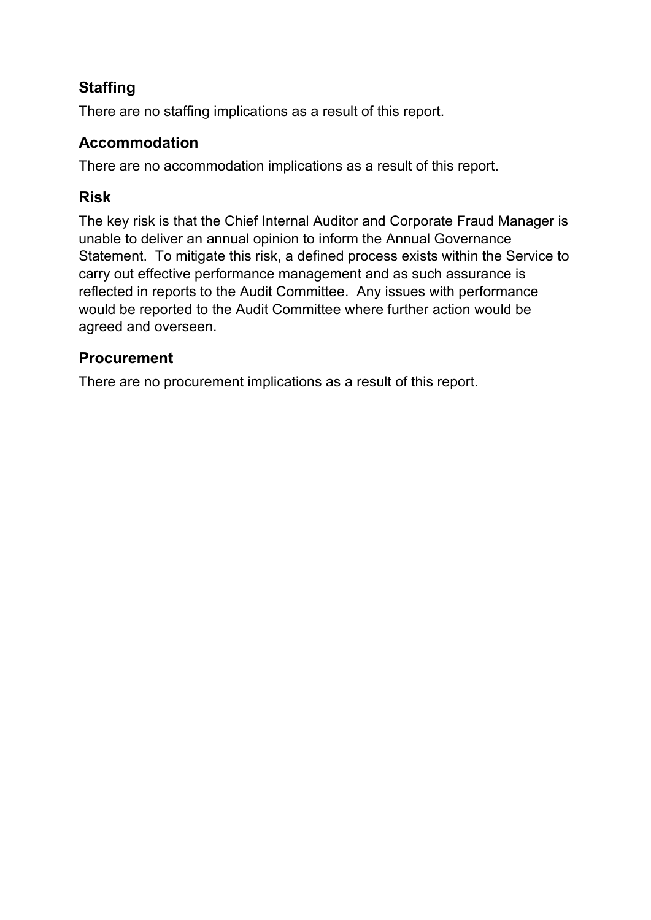# **Staffing**

There are no staffing implications as a result of this report.

## **Accommodation**

There are no accommodation implications as a result of this report.

## **Risk**

The key risk is that the Chief Internal Auditor and Corporate Fraud Manager is unable to deliver an annual opinion to inform the Annual Governance Statement. To mitigate this risk, a defined process exists within the Service to carry out effective performance management and as such assurance is reflected in reports to the Audit Committee. Any issues with performance would be reported to the Audit Committee where further action would be agreed and overseen.

## **Procurement**

There are no procurement implications as a result of this report.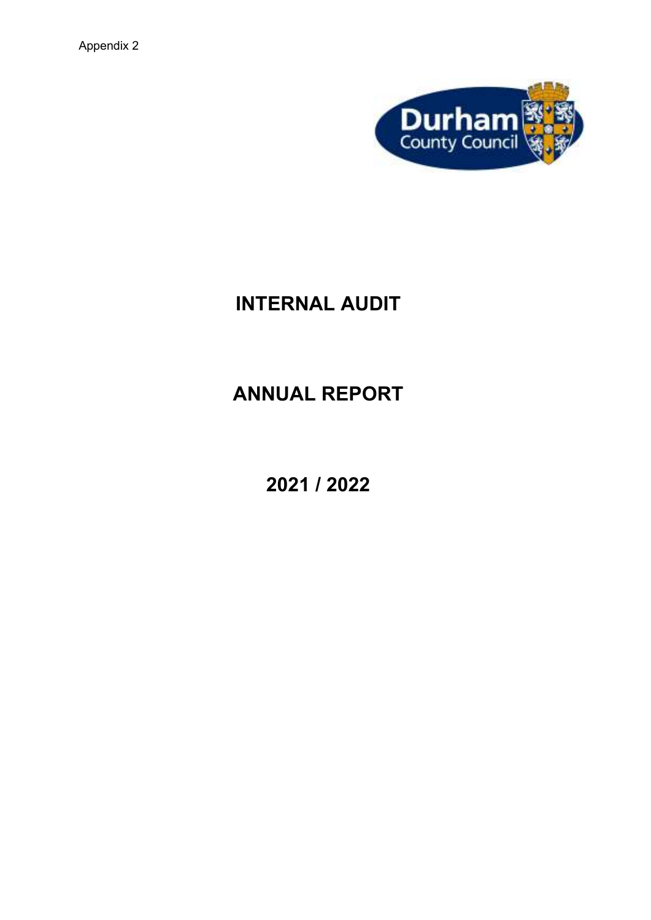Appendix 2



# **INTERNAL AUDIT**

# **ANNUAL REPORT**

**2021 / 2022**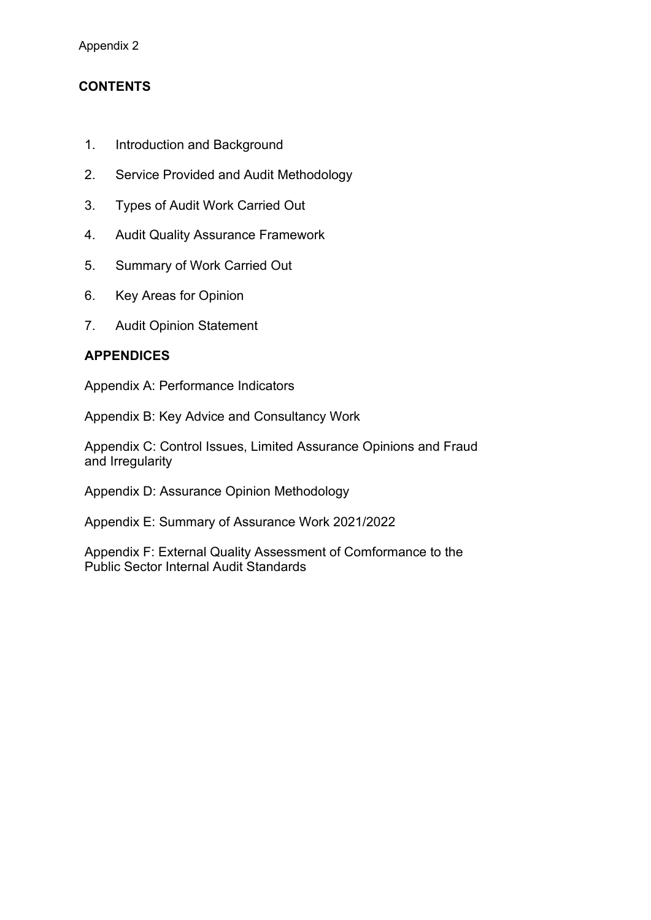#### **CONTENTS**

- 1. Introduction and Background
- 2. Service Provided and Audit Methodology
- 3. Types of Audit Work Carried Out
- 4. Audit Quality Assurance Framework
- 5. Summary of Work Carried Out
- 6. Key Areas for Opinion
- 7. Audit Opinion Statement

#### **APPENDICES**

Appendix A: Performance Indicators

Appendix B: Key Advice and Consultancy Work

Appendix C: Control Issues, Limited Assurance Opinions and Fraud and Irregularity

Appendix D: Assurance Opinion Methodology

Appendix E: Summary of Assurance Work 2021/2022

Appendix F: External Quality Assessment of Comformance to the Public Sector Internal Audit Standards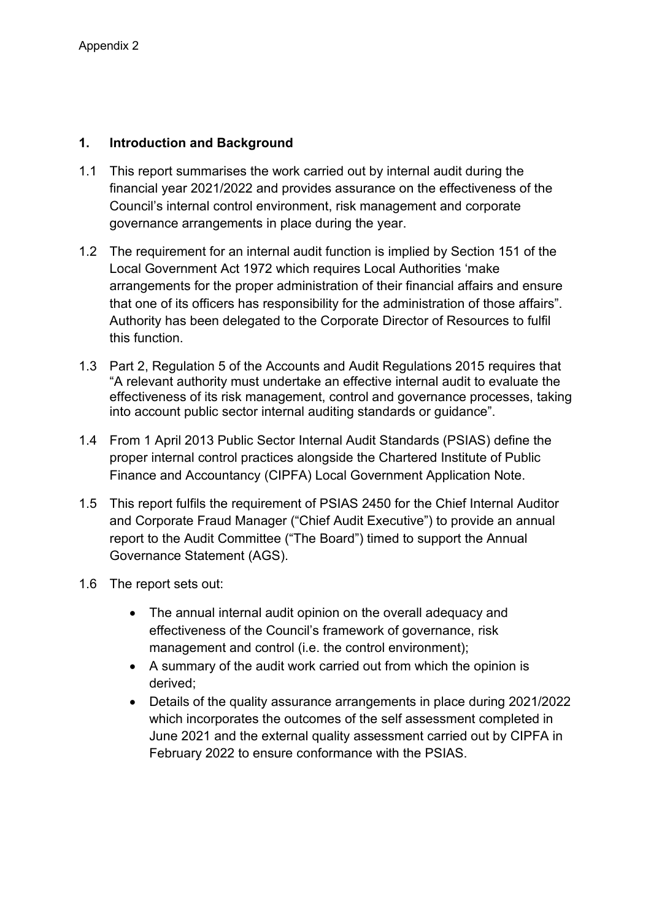#### **1. Introduction and Background**

- 1.1 This report summarises the work carried out by internal audit during the financial year 2021/2022 and provides assurance on the effectiveness of the Council's internal control environment, risk management and corporate governance arrangements in place during the year.
- 1.2 The requirement for an internal audit function is implied by Section 151 of the Local Government Act 1972 which requires Local Authorities 'make arrangements for the proper administration of their financial affairs and ensure that one of its officers has responsibility for the administration of those affairs". Authority has been delegated to the Corporate Director of Resources to fulfil this function.
- 1.3 Part 2, Regulation 5 of the Accounts and Audit Regulations 2015 requires that "A relevant authority must undertake an effective internal audit to evaluate the effectiveness of its risk management, control and governance processes, taking into account public sector internal auditing standards or guidance".
- 1.4 From 1 April 2013 Public Sector Internal Audit Standards (PSIAS) define the proper internal control practices alongside the Chartered Institute of Public Finance and Accountancy (CIPFA) Local Government Application Note.
- 1.5 This report fulfils the requirement of PSIAS 2450 for the Chief Internal Auditor and Corporate Fraud Manager ("Chief Audit Executive") to provide an annual report to the Audit Committee ("The Board") timed to support the Annual Governance Statement (AGS).
- 1.6 The report sets out:
	- The annual internal audit opinion on the overall adequacy and effectiveness of the Council's framework of governance, risk management and control (i.e. the control environment);
	- A summary of the audit work carried out from which the opinion is derived;
	- Details of the quality assurance arrangements in place during 2021/2022 which incorporates the outcomes of the self assessment completed in June 2021 and the external quality assessment carried out by CIPFA in February 2022 to ensure conformance with the PSIAS.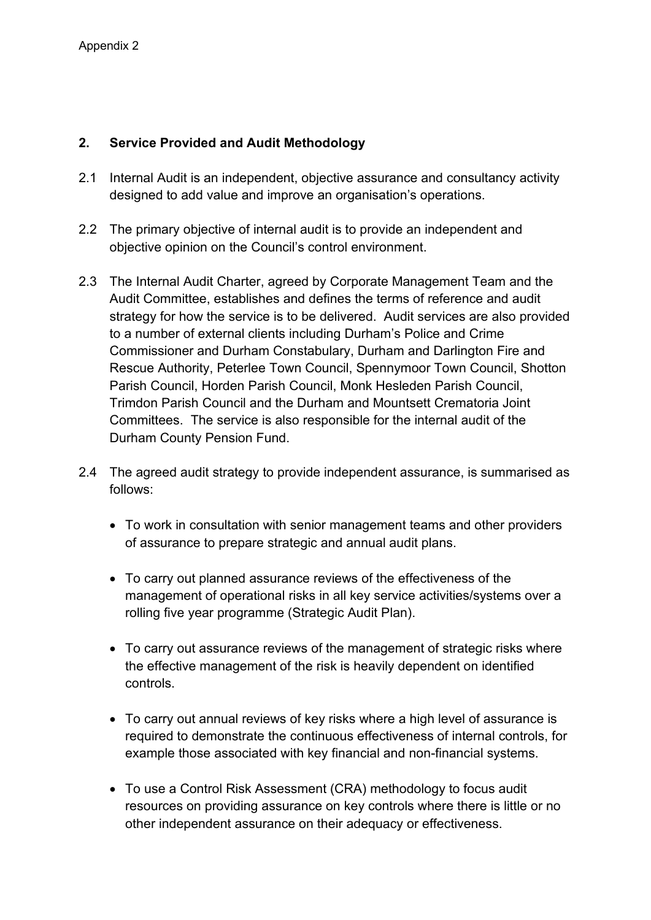### **2. Service Provided and Audit Methodology**

- 2.1 Internal Audit is an independent, objective assurance and consultancy activity designed to add value and improve an organisation's operations.
- 2.2 The primary objective of internal audit is to provide an independent and objective opinion on the Council's control environment.
- 2.3 The Internal Audit Charter, agreed by Corporate Management Team and the Audit Committee, establishes and defines the terms of reference and audit strategy for how the service is to be delivered. Audit services are also provided to a number of external clients including Durham's Police and Crime Commissioner and Durham Constabulary, Durham and Darlington Fire and Rescue Authority, Peterlee Town Council, Spennymoor Town Council, Shotton Parish Council, Horden Parish Council, Monk Hesleden Parish Council, Trimdon Parish Council and the Durham and Mountsett Crematoria Joint Committees. The service is also responsible for the internal audit of the Durham County Pension Fund.
- 2.4 The agreed audit strategy to provide independent assurance, is summarised as follows:
	- To work in consultation with senior management teams and other providers of assurance to prepare strategic and annual audit plans.
	- To carry out planned assurance reviews of the effectiveness of the management of operational risks in all key service activities/systems over a rolling five year programme (Strategic Audit Plan).
	- To carry out assurance reviews of the management of strategic risks where the effective management of the risk is heavily dependent on identified controls.
	- To carry out annual reviews of key risks where a high level of assurance is required to demonstrate the continuous effectiveness of internal controls, for example those associated with key financial and non-financial systems.
	- To use a Control Risk Assessment (CRA) methodology to focus audit resources on providing assurance on key controls where there is little or no other independent assurance on their adequacy or effectiveness.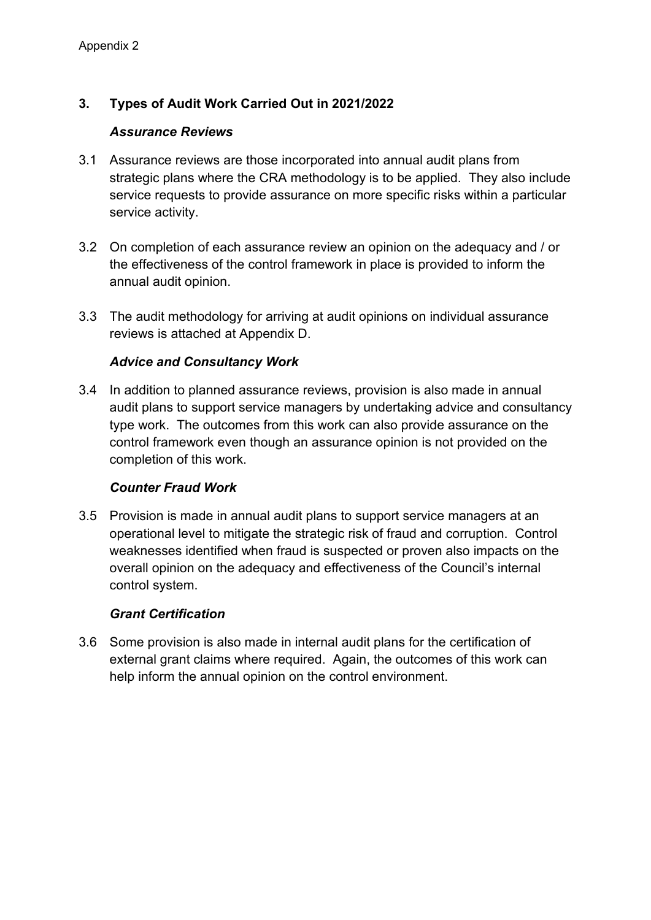### **3. Types of Audit Work Carried Out in 2021/2022**

#### *Assurance Reviews*

- 3.1 Assurance reviews are those incorporated into annual audit plans from strategic plans where the CRA methodology is to be applied. They also include service requests to provide assurance on more specific risks within a particular service activity.
- 3.2 On completion of each assurance review an opinion on the adequacy and / or the effectiveness of the control framework in place is provided to inform the annual audit opinion.
- 3.3 The audit methodology for arriving at audit opinions on individual assurance reviews is attached at Appendix D.

#### *Advice and Consultancy Work*

3.4 In addition to planned assurance reviews, provision is also made in annual audit plans to support service managers by undertaking advice and consultancy type work. The outcomes from this work can also provide assurance on the control framework even though an assurance opinion is not provided on the completion of this work.

#### *Counter Fraud Work*

3.5 Provision is made in annual audit plans to support service managers at an operational level to mitigate the strategic risk of fraud and corruption. Control weaknesses identified when fraud is suspected or proven also impacts on the overall opinion on the adequacy and effectiveness of the Council's internal control system.

#### *Grant Certification*

3.6 Some provision is also made in internal audit plans for the certification of external grant claims where required. Again, the outcomes of this work can help inform the annual opinion on the control environment.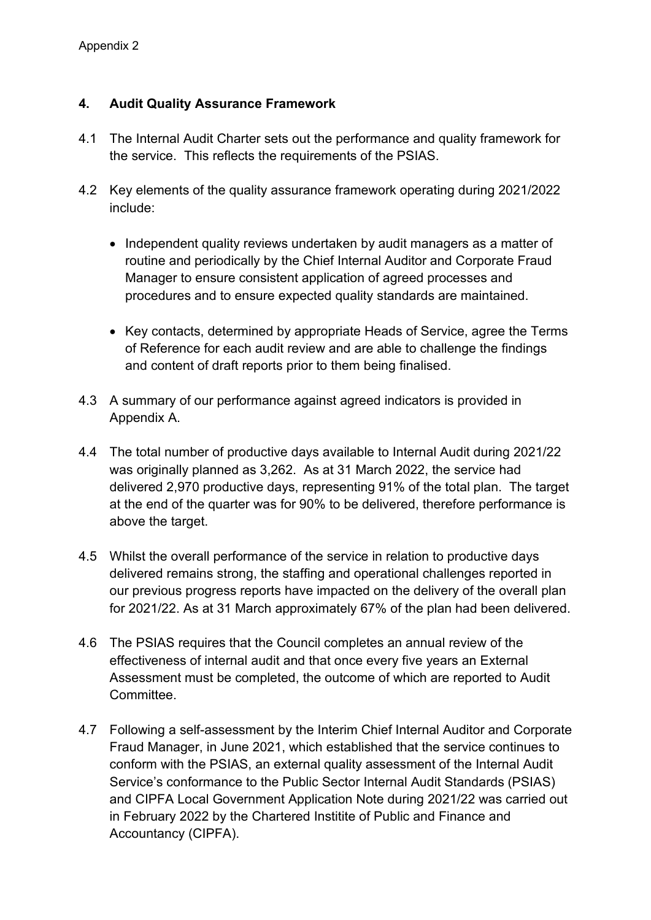### **4. Audit Quality Assurance Framework**

- 4.1 The Internal Audit Charter sets out the performance and quality framework for the service. This reflects the requirements of the PSIAS.
- 4.2 Key elements of the quality assurance framework operating during 2021/2022 include:
	- Independent quality reviews undertaken by audit managers as a matter of routine and periodically by the Chief Internal Auditor and Corporate Fraud Manager to ensure consistent application of agreed processes and procedures and to ensure expected quality standards are maintained.
	- Key contacts, determined by appropriate Heads of Service, agree the Terms of Reference for each audit review and are able to challenge the findings and content of draft reports prior to them being finalised.
- 4.3 A summary of our performance against agreed indicators is provided in Appendix A.
- 4.4 The total number of productive days available to Internal Audit during 2021/22 was originally planned as 3,262. As at 31 March 2022, the service had delivered 2,970 productive days, representing 91% of the total plan. The target at the end of the quarter was for 90% to be delivered, therefore performance is above the target.
- 4.5 Whilst the overall performance of the service in relation to productive days delivered remains strong, the staffing and operational challenges reported in our previous progress reports have impacted on the delivery of the overall plan for 2021/22. As at 31 March approximately 67% of the plan had been delivered.
- 4.6 The PSIAS requires that the Council completes an annual review of the effectiveness of internal audit and that once every five years an External Assessment must be completed, the outcome of which are reported to Audit Committee.
- 4.7 Following a self-assessment by the Interim Chief Internal Auditor and Corporate Fraud Manager, in June 2021, which established that the service continues to conform with the PSIAS, an external quality assessment of the Internal Audit Service's conformance to the Public Sector Internal Audit Standards (PSIAS) and CIPFA Local Government Application Note during 2021/22 was carried out in February 2022 by the Chartered Institite of Public and Finance and Accountancy (CIPFA).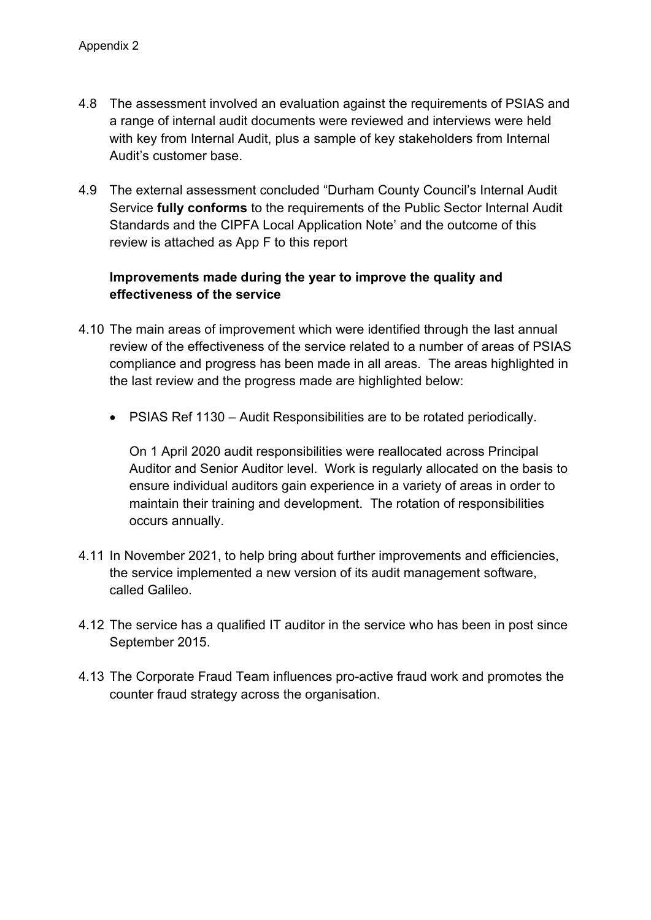- 4.8 The assessment involved an evaluation against the requirements of PSIAS and a range of internal audit documents were reviewed and interviews were held with key from Internal Audit, plus a sample of key stakeholders from Internal Audit's customer base.
- 4.9 The external assessment concluded "Durham County Council's Internal Audit Service **fully conforms** to the requirements of the Public Sector Internal Audit Standards and the CIPFA Local Application Note' and the outcome of this review is attached as App F to this report

#### **Improvements made during the year to improve the quality and effectiveness of the service**

- 4.10 The main areas of improvement which were identified through the last annual review of the effectiveness of the service related to a number of areas of PSIAS compliance and progress has been made in all areas. The areas highlighted in the last review and the progress made are highlighted below:
	- PSIAS Ref 1130 Audit Responsibilities are to be rotated periodically.

On 1 April 2020 audit responsibilities were reallocated across Principal Auditor and Senior Auditor level. Work is regularly allocated on the basis to ensure individual auditors gain experience in a variety of areas in order to maintain their training and development. The rotation of responsibilities occurs annually.

- 4.11 In November 2021, to help bring about further improvements and efficiencies, the service implemented a new version of its audit management software, called Galileo.
- 4.12 The service has a qualified IT auditor in the service who has been in post since September 2015.
- 4.13 The Corporate Fraud Team influences pro-active fraud work and promotes the counter fraud strategy across the organisation.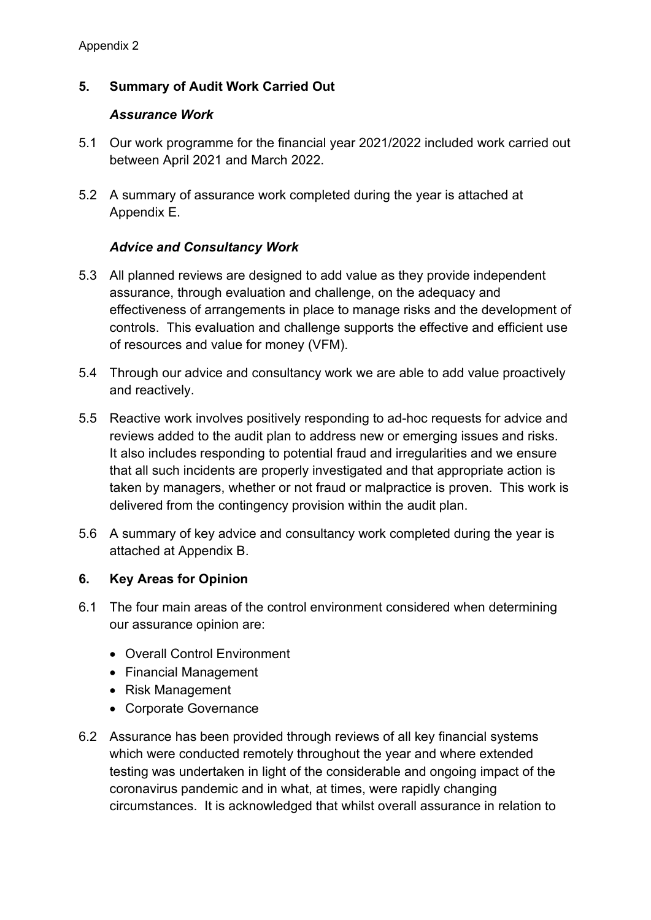### **5. Summary of Audit Work Carried Out**

#### *Assurance Work*

- 5.1 Our work programme for the financial year 2021/2022 included work carried out between April 2021 and March 2022.
- 5.2 A summary of assurance work completed during the year is attached at Appendix E.

#### *Advice and Consultancy Work*

- 5.3 All planned reviews are designed to add value as they provide independent assurance, through evaluation and challenge, on the adequacy and effectiveness of arrangements in place to manage risks and the development of controls. This evaluation and challenge supports the effective and efficient use of resources and value for money (VFM).
- 5.4 Through our advice and consultancy work we are able to add value proactively and reactively.
- 5.5 Reactive work involves positively responding to ad-hoc requests for advice and reviews added to the audit plan to address new or emerging issues and risks. It also includes responding to potential fraud and irregularities and we ensure that all such incidents are properly investigated and that appropriate action is taken by managers, whether or not fraud or malpractice is proven. This work is delivered from the contingency provision within the audit plan.
- 5.6 A summary of key advice and consultancy work completed during the year is attached at Appendix B.

#### **6. Key Areas for Opinion**

- 6.1 The four main areas of the control environment considered when determining our assurance opinion are:
	- Overall Control Environment
	- Financial Management
	- Risk Management
	- Corporate Governance
- 6.2 Assurance has been provided through reviews of all key financial systems which were conducted remotely throughout the year and where extended testing was undertaken in light of the considerable and ongoing impact of the coronavirus pandemic and in what, at times, were rapidly changing circumstances. It is acknowledged that whilst overall assurance in relation to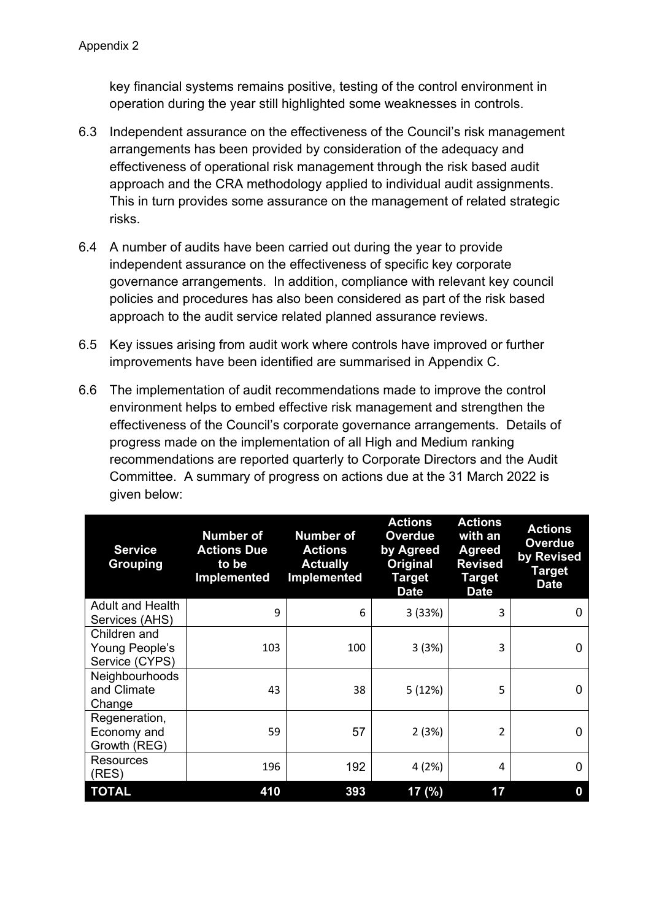key financial systems remains positive, testing of the control environment in operation during the year still highlighted some weaknesses in controls.

- 6.3 Independent assurance on the effectiveness of the Council's risk management arrangements has been provided by consideration of the adequacy and effectiveness of operational risk management through the risk based audit approach and the CRA methodology applied to individual audit assignments. This in turn provides some assurance on the management of related strategic risks.
- 6.4 A number of audits have been carried out during the year to provide independent assurance on the effectiveness of specific key corporate governance arrangements. In addition, compliance with relevant key council policies and procedures has also been considered as part of the risk based approach to the audit service related planned assurance reviews.
- 6.5 Key issues arising from audit work where controls have improved or further improvements have been identified are summarised in Appendix C.
- 6.6 The implementation of audit recommendations made to improve the control environment helps to embed effective risk management and strengthen the effectiveness of the Council's corporate governance arrangements. Details of progress made on the implementation of all High and Medium ranking recommendations are reported quarterly to Corporate Directors and the Audit Committee. A summary of progress on actions due at the 31 March 2022 is given below:

| <b>Service</b><br><b>Grouping</b>                | <b>Number of</b><br><b>Actions Due</b><br>to be<br><b>Implemented</b> | <b>Number of</b><br><b>Actions</b><br><b>Actually</b><br>Implemented | <b>Actions</b><br><b>Overdue</b><br>by Agreed<br>Original<br><b>Target</b><br><b>Date</b> | <b>Actions</b><br>with an<br><b>Agreed</b><br><b>Revised</b><br><b>Target</b><br><b>Date</b> | <b>Actions</b><br><b>Overdue</b><br>by Revised<br><b>Target</b><br><b>Date</b> |
|--------------------------------------------------|-----------------------------------------------------------------------|----------------------------------------------------------------------|-------------------------------------------------------------------------------------------|----------------------------------------------------------------------------------------------|--------------------------------------------------------------------------------|
| <b>Adult and Health</b><br>Services (AHS)        | 9                                                                     | 6                                                                    | 3(33%)                                                                                    | 3                                                                                            | 0                                                                              |
| Children and<br>Young People's<br>Service (CYPS) | 103                                                                   | 100                                                                  | 3(3%)                                                                                     | 3                                                                                            |                                                                                |
| <b>Neighbourhoods</b><br>and Climate<br>Change   | 43                                                                    | 38                                                                   | 5(12%)                                                                                    | 5                                                                                            | O                                                                              |
| Regeneration,<br>Economy and<br>Growth (REG)     | 59                                                                    | 57                                                                   | 2(3%)                                                                                     | 2                                                                                            | 0                                                                              |
| <b>Resources</b><br>(RES)                        | 196                                                                   | 192                                                                  | 4 (2%)                                                                                    | 4                                                                                            | $\Omega$                                                                       |
| <b>TOTAL</b>                                     | 410                                                                   | 393                                                                  | 17(%)                                                                                     | 17                                                                                           | 0                                                                              |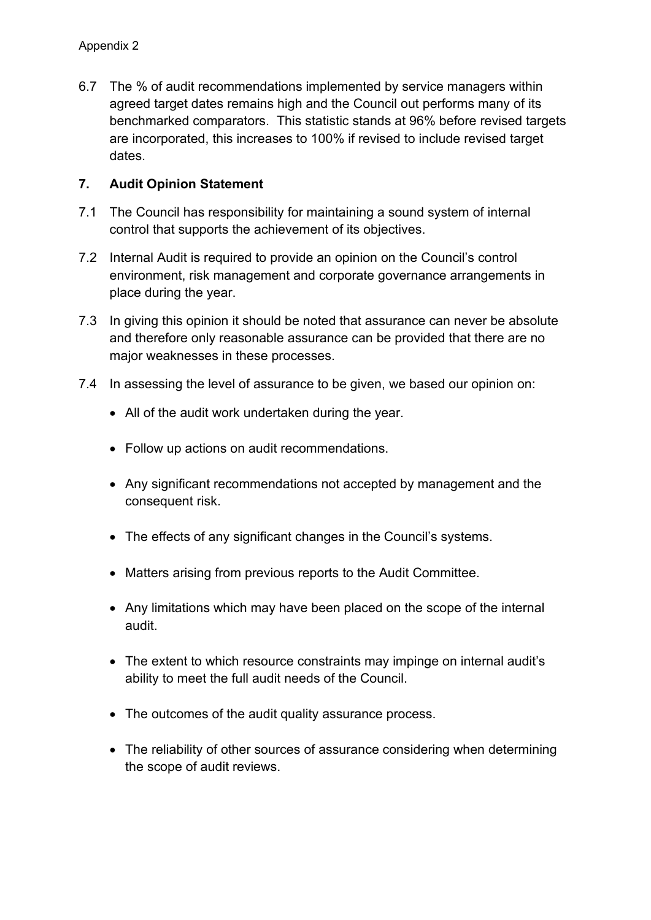6.7 The % of audit recommendations implemented by service managers within agreed target dates remains high and the Council out performs many of its benchmarked comparators. This statistic stands at 96% before revised targets are incorporated, this increases to 100% if revised to include revised target dates.

### **7. Audit Opinion Statement**

- 7.1 The Council has responsibility for maintaining a sound system of internal control that supports the achievement of its objectives.
- 7.2 Internal Audit is required to provide an opinion on the Council's control environment, risk management and corporate governance arrangements in place during the year.
- 7.3 In giving this opinion it should be noted that assurance can never be absolute and therefore only reasonable assurance can be provided that there are no major weaknesses in these processes.
- 7.4 In assessing the level of assurance to be given, we based our opinion on:
	- All of the audit work undertaken during the year.
	- Follow up actions on audit recommendations.
	- Any significant recommendations not accepted by management and the consequent risk.
	- The effects of any significant changes in the Council's systems.
	- Matters arising from previous reports to the Audit Committee.
	- Any limitations which may have been placed on the scope of the internal audit.
	- The extent to which resource constraints may impinge on internal audit's ability to meet the full audit needs of the Council.
	- The outcomes of the audit quality assurance process.
	- The reliability of other sources of assurance considering when determining the scope of audit reviews.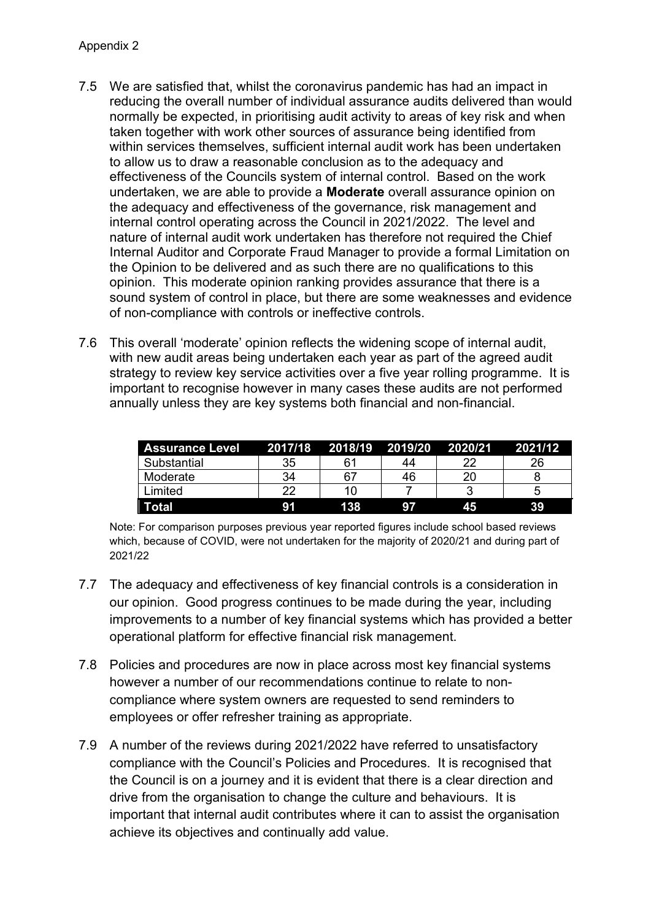- 7.5 We are satisfied that, whilst the coronavirus pandemic has had an impact in reducing the overall number of individual assurance audits delivered than would normally be expected, in prioritising audit activity to areas of key risk and when taken together with work other sources of assurance being identified from within services themselves, sufficient internal audit work has been undertaken to allow us to draw a reasonable conclusion as to the adequacy and effectiveness of the Councils system of internal control. Based on the work undertaken, we are able to provide a **Moderate** overall assurance opinion on the adequacy and effectiveness of the governance, risk management and internal control operating across the Council in 2021/2022. The level and nature of internal audit work undertaken has therefore not required the Chief Internal Auditor and Corporate Fraud Manager to provide a formal Limitation on the Opinion to be delivered and as such there are no qualifications to this opinion. This moderate opinion ranking provides assurance that there is a sound system of control in place, but there are some weaknesses and evidence of non-compliance with controls or ineffective controls.
- 7.6 This overall 'moderate' opinion reflects the widening scope of internal audit, with new audit areas being undertaken each year as part of the agreed audit strategy to review key service activities over a five year rolling programme. It is important to recognise however in many cases these audits are not performed annually unless they are key systems both financial and non-financial.

| <b>Assurance Level</b> | 2017/18 | 2018/19 | 2019/20 | 2020/21 | 2021/12 |
|------------------------|---------|---------|---------|---------|---------|
| Substantial            | 35      | 61      | 44      | າາ      | 26      |
| Moderate               | 34      | 67      | 46      | 20      |         |
| l Limited              | 22      | 10      |         |         |         |
| Total                  |         | 138     | 97      | 45      | 39      |

Note: For comparison purposes previous year reported figures include school based reviews which, because of COVID, were not undertaken for the majority of 2020/21 and during part of 2021/22

- 7.7 The adequacy and effectiveness of key financial controls is a consideration in our opinion. Good progress continues to be made during the year, including improvements to a number of key financial systems which has provided a better operational platform for effective financial risk management.
- 7.8 Policies and procedures are now in place across most key financial systems however a number of our recommendations continue to relate to noncompliance where system owners are requested to send reminders to employees or offer refresher training as appropriate.
- 7.9 A number of the reviews during 2021/2022 have referred to unsatisfactory compliance with the Council's Policies and Procedures. It is recognised that the Council is on a journey and it is evident that there is a clear direction and drive from the organisation to change the culture and behaviours. It is important that internal audit contributes where it can to assist the organisation achieve its objectives and continually add value.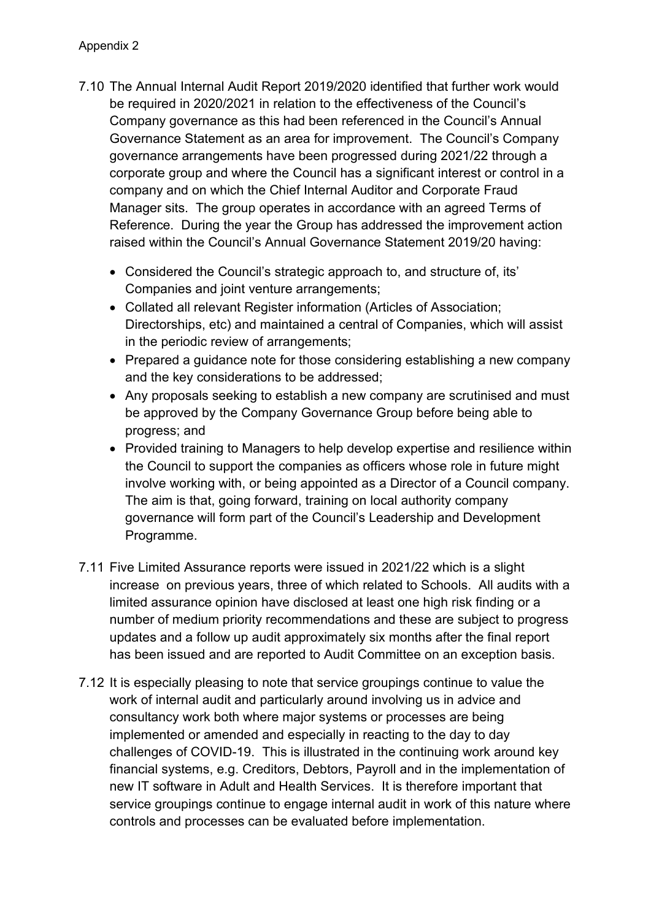- 7.10 The Annual Internal Audit Report 2019/2020 identified that further work would be required in 2020/2021 in relation to the effectiveness of the Council's Company governance as this had been referenced in the Council's Annual Governance Statement as an area for improvement. The Council's Company governance arrangements have been progressed during 2021/22 through a corporate group and where the Council has a significant interest or control in a company and on which the Chief Internal Auditor and Corporate Fraud Manager sits. The group operates in accordance with an agreed Terms of Reference. During the year the Group has addressed the improvement action raised within the Council's Annual Governance Statement 2019/20 having:
	- Considered the Council's strategic approach to, and structure of, its' Companies and joint venture arrangements;
	- Collated all relevant Register information (Articles of Association; Directorships, etc) and maintained a central of Companies, which will assist in the periodic review of arrangements;
	- Prepared a guidance note for those considering establishing a new company and the key considerations to be addressed;
	- Any proposals seeking to establish a new company are scrutinised and must be approved by the Company Governance Group before being able to progress; and
	- Provided training to Managers to help develop expertise and resilience within the Council to support the companies as officers whose role in future might involve working with, or being appointed as a Director of a Council company. The aim is that, going forward, training on local authority company governance will form part of the Council's Leadership and Development Programme.
- 7.11 Five Limited Assurance reports were issued in 2021/22 which is a slight increase on previous years, three of which related to Schools. All audits with a limited assurance opinion have disclosed at least one high risk finding or a number of medium priority recommendations and these are subject to progress updates and a follow up audit approximately six months after the final report has been issued and are reported to Audit Committee on an exception basis.
- 7.12 It is especially pleasing to note that service groupings continue to value the work of internal audit and particularly around involving us in advice and consultancy work both where major systems or processes are being implemented or amended and especially in reacting to the day to day challenges of COVID-19. This is illustrated in the continuing work around key financial systems, e.g. Creditors, Debtors, Payroll and in the implementation of new IT software in Adult and Health Services. It is therefore important that service groupings continue to engage internal audit in work of this nature where controls and processes can be evaluated before implementation.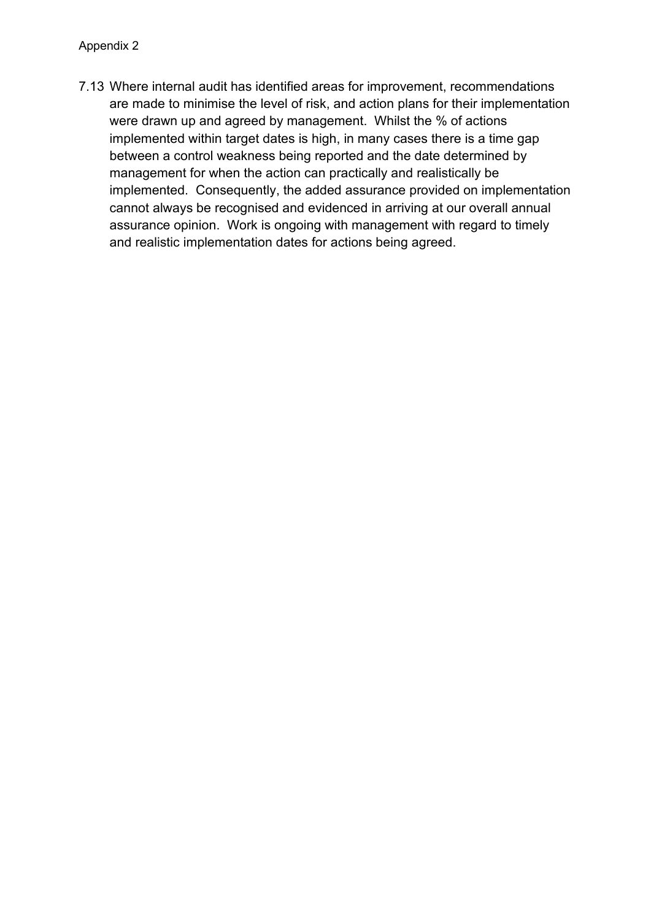7.13 Where internal audit has identified areas for improvement, recommendations are made to minimise the level of risk, and action plans for their implementation were drawn up and agreed by management. Whilst the % of actions implemented within target dates is high, in many cases there is a time gap between a control weakness being reported and the date determined by management for when the action can practically and realistically be implemented. Consequently, the added assurance provided on implementation cannot always be recognised and evidenced in arriving at our overall annual assurance opinion. Work is ongoing with management with regard to timely and realistic implementation dates for actions being agreed.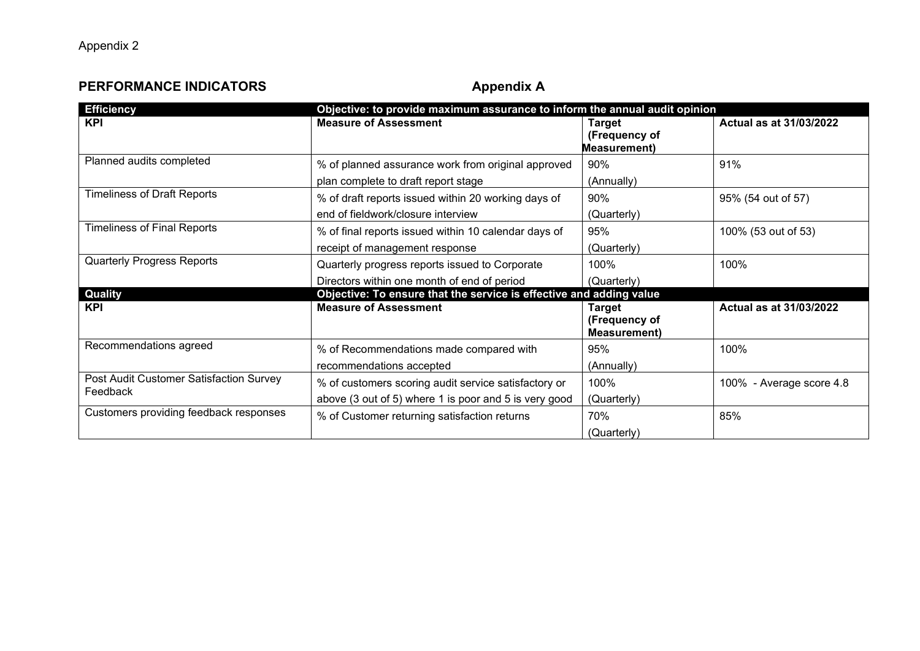## **PERFORMANCE INDICATORS**

## **Appendix A**

| <b>Efficiency</b>                       | Objective: to provide maximum assurance to inform the annual audit opinion |                                                       |                                |
|-----------------------------------------|----------------------------------------------------------------------------|-------------------------------------------------------|--------------------------------|
| <b>KPI</b>                              | <b>Measure of Assessment</b>                                               | <b>Target</b><br>(Frequency of<br><b>Measurement)</b> | <b>Actual as at 31/03/2022</b> |
| Planned audits completed                | % of planned assurance work from original approved                         | 90%                                                   | 91%                            |
|                                         | plan complete to draft report stage                                        | (Annually)                                            |                                |
| <b>Timeliness of Draft Reports</b>      | % of draft reports issued within 20 working days of                        | 90%                                                   | 95% (54 out of 57)             |
|                                         | end of fieldwork/closure interview                                         | (Quarterly)                                           |                                |
| <b>Timeliness of Final Reports</b>      | % of final reports issued within 10 calendar days of                       | 95%                                                   | 100% (53 out of 53)            |
|                                         | receipt of management response                                             | (Quarterly)                                           |                                |
| <b>Quarterly Progress Reports</b>       | Quarterly progress reports issued to Corporate                             | 100%                                                  | 100%                           |
|                                         | Directors within one month of end of period                                | (Quarterly)                                           |                                |
| Quality                                 | Objective: To ensure that the service is effective and adding value        |                                                       |                                |
| <b>KPI</b>                              | <b>Measure of Assessment</b>                                               | Target<br>(Frequency of<br><b>Measurement</b> )       | <b>Actual as at 31/03/2022</b> |
| Recommendations agreed                  | % of Recommendations made compared with                                    | 95%                                                   | 100%                           |
|                                         | recommendations accepted                                                   | (Annually)                                            |                                |
| Post Audit Customer Satisfaction Survey | % of customers scoring audit service satisfactory or                       | 100%                                                  | 100% - Average score 4.8       |
| Feedback                                | above (3 out of 5) where 1 is poor and 5 is very good                      | (Quarterly)                                           |                                |
| Customers providing feedback responses  | % of Customer returning satisfaction returns                               | 70%                                                   | 85%                            |
|                                         |                                                                            | (Quarterly)                                           |                                |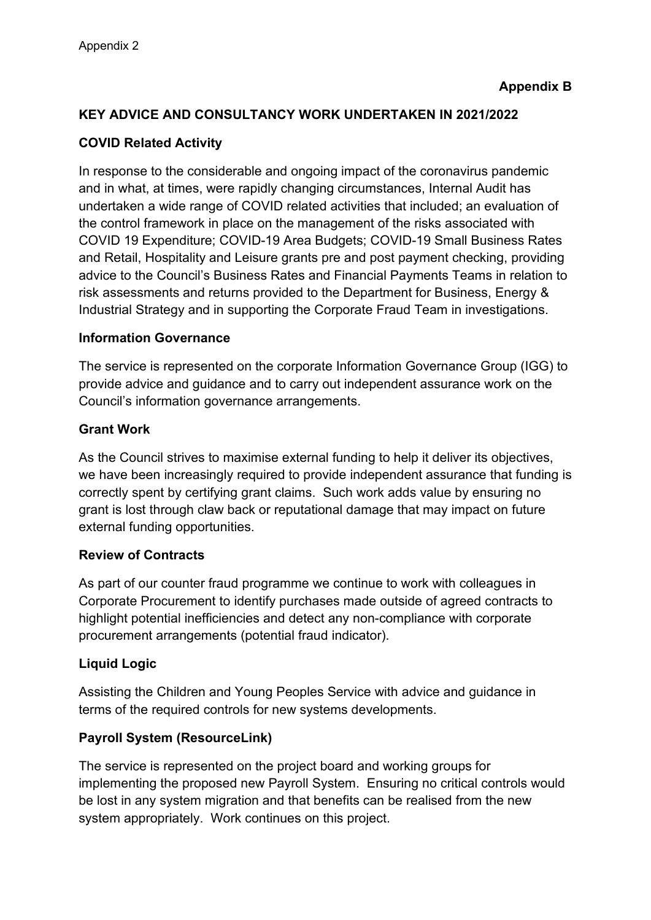#### **KEY ADVICE AND CONSULTANCY WORK UNDERTAKEN IN 2021/2022**

#### **COVID Related Activity**

In response to the considerable and ongoing impact of the coronavirus pandemic and in what, at times, were rapidly changing circumstances, Internal Audit has undertaken a wide range of COVID related activities that included; an evaluation of the control framework in place on the management of the risks associated with COVID 19 Expenditure; COVID-19 Area Budgets; COVID-19 Small Business Rates and Retail, Hospitality and Leisure grants pre and post payment checking, providing advice to the Council's Business Rates and Financial Payments Teams in relation to risk assessments and returns provided to the Department for Business, Energy & Industrial Strategy and in supporting the Corporate Fraud Team in investigations.

#### **Information Governance**

The service is represented on the corporate Information Governance Group (IGG) to provide advice and guidance and to carry out independent assurance work on the Council's information governance arrangements.

#### **Grant Work**

As the Council strives to maximise external funding to help it deliver its objectives, we have been increasingly required to provide independent assurance that funding is correctly spent by certifying grant claims. Such work adds value by ensuring no grant is lost through claw back or reputational damage that may impact on future external funding opportunities.

#### **Review of Contracts**

As part of our counter fraud programme we continue to work with colleagues in Corporate Procurement to identify purchases made outside of agreed contracts to highlight potential inefficiencies and detect any non-compliance with corporate procurement arrangements (potential fraud indicator).

#### **Liquid Logic**

Assisting the Children and Young Peoples Service with advice and guidance in terms of the required controls for new systems developments.

#### **Payroll System (ResourceLink)**

The service is represented on the project board and working groups for implementing the proposed new Payroll System. Ensuring no critical controls would be lost in any system migration and that benefits can be realised from the new system appropriately. Work continues on this project.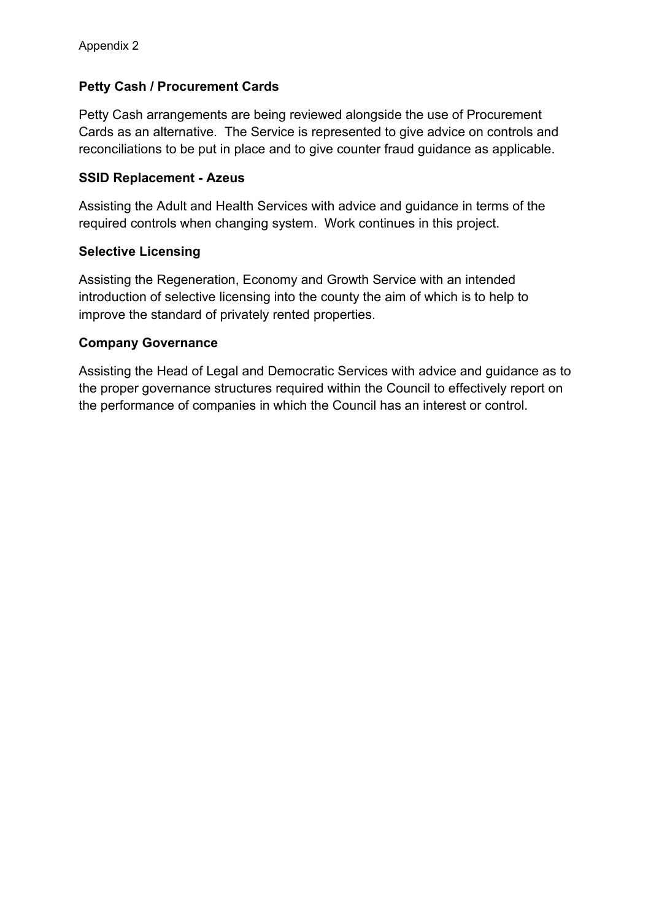#### **Petty Cash / Procurement Cards**

Petty Cash arrangements are being reviewed alongside the use of Procurement Cards as an alternative. The Service is represented to give advice on controls and reconciliations to be put in place and to give counter fraud guidance as applicable.

#### **SSID Replacement - Azeus**

Assisting the Adult and Health Services with advice and guidance in terms of the required controls when changing system. Work continues in this project.

#### **Selective Licensing**

Assisting the Regeneration, Economy and Growth Service with an intended introduction of selective licensing into the county the aim of which is to help to improve the standard of privately rented properties.

#### **Company Governance**

Assisting the Head of Legal and Democratic Services with advice and guidance as to the proper governance structures required within the Council to effectively report on the performance of companies in which the Council has an interest or control.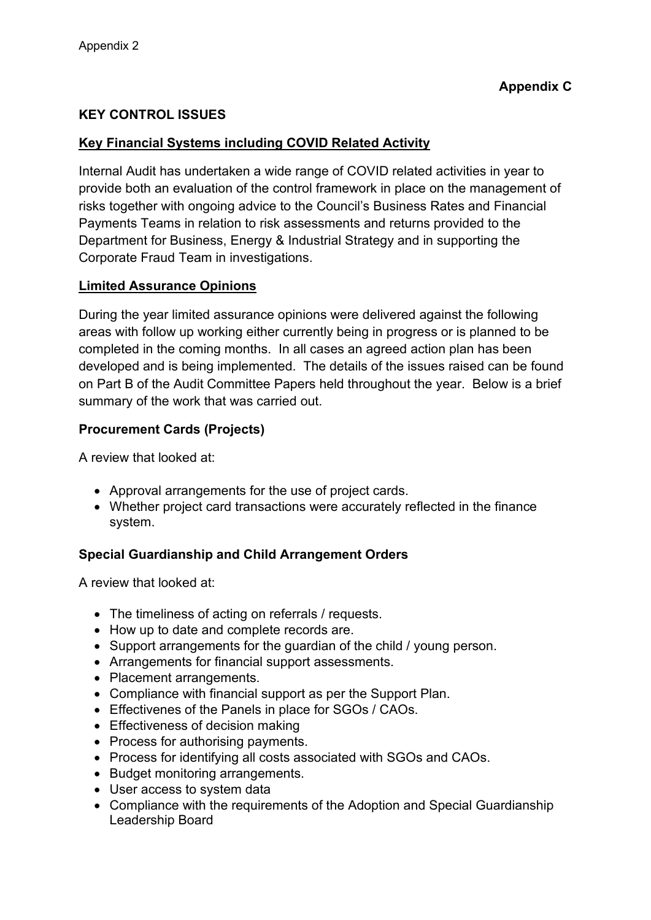#### **KEY CONTROL ISSUES**

#### **Key Financial Systems including COVID Related Activity**

Internal Audit has undertaken a wide range of COVID related activities in year to provide both an evaluation of the control framework in place on the management of risks together with ongoing advice to the Council's Business Rates and Financial Payments Teams in relation to risk assessments and returns provided to the Department for Business, Energy & Industrial Strategy and in supporting the Corporate Fraud Team in investigations.

#### **Limited Assurance Opinions**

During the year limited assurance opinions were delivered against the following areas with follow up working either currently being in progress or is planned to be completed in the coming months. In all cases an agreed action plan has been developed and is being implemented. The details of the issues raised can be found on Part B of the Audit Committee Papers held throughout the year. Below is a brief summary of the work that was carried out.

#### **Procurement Cards (Projects)**

A review that looked at:

- Approval arrangements for the use of project cards.
- Whether project card transactions were accurately reflected in the finance system.

#### **Special Guardianship and Child Arrangement Orders**

A review that looked at:

- The timeliness of acting on referrals / requests.
- How up to date and complete records are.
- Support arrangements for the guardian of the child / young person.
- Arrangements for financial support assessments.
- Placement arrangements.
- Compliance with financial support as per the Support Plan.
- Effectivenes of the Panels in place for SGOs / CAOs.
- Effectiveness of decision making
- Process for authorising payments.
- Process for identifying all costs associated with SGOs and CAOs.
- Budget monitoring arrangements.
- User access to system data
- Compliance with the requirements of the Adoption and Special Guardianship Leadership Board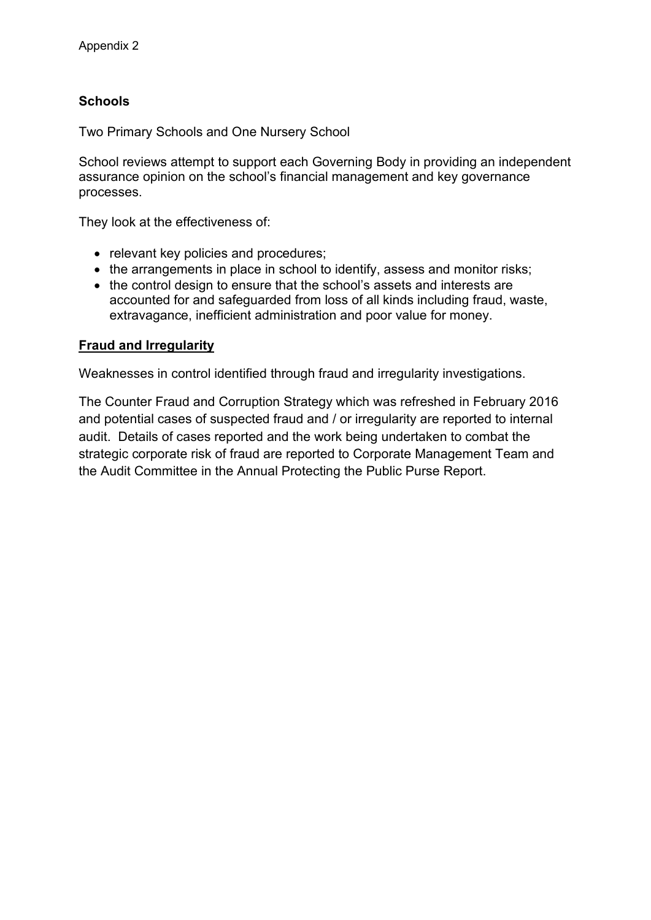#### **Schools**

Two Primary Schools and One Nursery School

School reviews attempt to support each Governing Body in providing an independent assurance opinion on the school's financial management and key governance processes.

They look at the effectiveness of:

- relevant key policies and procedures;
- the arrangements in place in school to identify, assess and monitor risks;
- the control design to ensure that the school's assets and interests are accounted for and safeguarded from loss of all kinds including fraud, waste, extravagance, inefficient administration and poor value for money.

#### **Fraud and Irregularity**

Weaknesses in control identified through fraud and irregularity investigations.

The Counter Fraud and Corruption Strategy which was refreshed in February 2016 and potential cases of suspected fraud and / or irregularity are reported to internal audit. Details of cases reported and the work being undertaken to combat the strategic corporate risk of fraud are reported to Corporate Management Team and the Audit Committee in the Annual Protecting the Public Purse Report.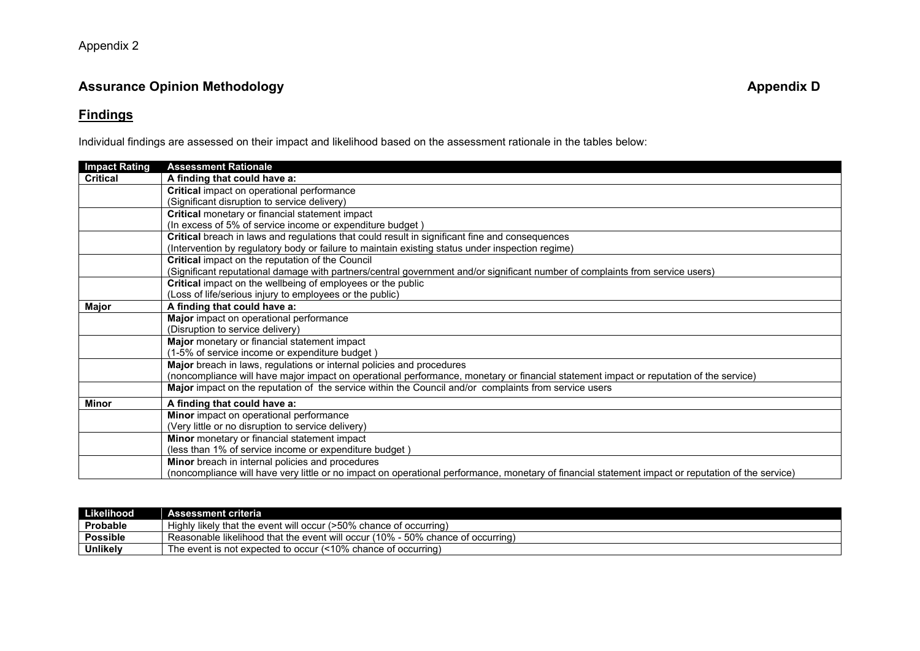## **Assurance Opinion Methodology Alternative Controllery Appendix D Appendix D**

#### **Findings**

Individual findings are assessed on their impact and likelihood based on the assessment rationale in the tables below:

| <b>Impact Rating</b> | <b>Assessment Rationale</b>                                                                                                                        |
|----------------------|----------------------------------------------------------------------------------------------------------------------------------------------------|
| <b>Critical</b>      | A finding that could have a:                                                                                                                       |
|                      | <b>Critical impact on operational performance</b>                                                                                                  |
|                      | (Significant disruption to service delivery)                                                                                                       |
|                      | Critical monetary or financial statement impact                                                                                                    |
|                      | (In excess of 5% of service income or expenditure budget)                                                                                          |
|                      | Critical breach in laws and regulations that could result in significant fine and consequences                                                     |
|                      | (Intervention by regulatory body or failure to maintain existing status under inspection regime)                                                   |
|                      | Critical impact on the reputation of the Council                                                                                                   |
|                      | (Significant reputational damage with partners/central government and/or significant number of complaints from service users)                      |
|                      | Critical impact on the wellbeing of employees or the public                                                                                        |
|                      | (Loss of life/serious injury to employees or the public)                                                                                           |
| Major                | A finding that could have a:                                                                                                                       |
|                      | Major impact on operational performance                                                                                                            |
|                      | (Disruption to service delivery)                                                                                                                   |
|                      | Major monetary or financial statement impact                                                                                                       |
|                      | (1-5% of service income or expenditure budget)                                                                                                     |
|                      | Major breach in laws, regulations or internal policies and procedures                                                                              |
|                      | (noncompliance will have major impact on operational performance, monetary or financial statement impact or reputation of the service)             |
|                      | Major impact on the reputation of the service within the Council and/or complaints from service users                                              |
| <b>Minor</b>         | A finding that could have a:                                                                                                                       |
|                      | Minor impact on operational performance                                                                                                            |
|                      | (Very little or no disruption to service delivery)                                                                                                 |
|                      | Minor monetary or financial statement impact                                                                                                       |
|                      | (less than 1% of service income or expenditure budget)                                                                                             |
|                      | Minor breach in internal policies and procedures                                                                                                   |
|                      | (noncompliance will have very little or no impact on operational performance, monetary of financial statement impact or reputation of the service) |

| Likelihood      | Assessment criteria                                                             |
|-----------------|---------------------------------------------------------------------------------|
| Probable        | Highly likely that the event will occur (>50% chance of occurring)              |
| <b>Possible</b> | Reasonable likelihood that the event will occur (10% - 50% chance of occurring) |
| <b>Unlikely</b> | The event is not expected to occur (<10% chance of occurring)                   |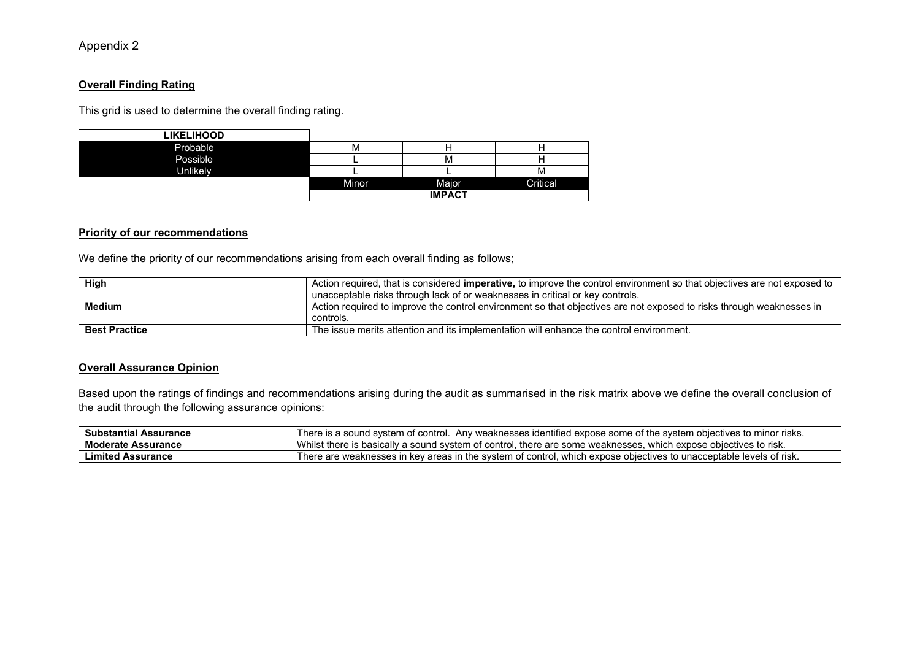#### Appendix 2

#### **Overall Finding Rating**

This grid is used to determine the overall finding rating.

| <b>LIKELIHOOD</b> |            |               |          |
|-------------------|------------|---------------|----------|
| Probable          | <b>IVI</b> |               | п        |
| Possible          |            | M             | п        |
| <b>Unlikely</b>   |            |               | М        |
|                   | Minor      | Major         | Critical |
|                   |            | <b>IMPACT</b> |          |

#### **Priority of our recommendations**

We define the priority of our recommendations arising from each overall finding as follows;

| High                 | Action required, that is considered <b>imperative</b> , to improve the control environment so that objectives are not exposed to<br>unacceptable risks through lack of or weaknesses in critical or key controls. |
|----------------------|-------------------------------------------------------------------------------------------------------------------------------------------------------------------------------------------------------------------|
|                      |                                                                                                                                                                                                                   |
| <b>Medium</b>        | Action required to improve the control environment so that objectives are not exposed to risks through weaknesses in                                                                                              |
|                      | controls.                                                                                                                                                                                                         |
| <b>Best Practice</b> | The issue merits attention and its implementation will enhance the control environment.                                                                                                                           |

#### **Overall Assurance Opinion**

Based upon the ratings of findings and recommendations arising during the audit as summarised in the risk matrix above we define the overall conclusion of the audit through the following assurance opinions:

| Substantial<br>. Assurance    | ∵rısks.<br>Anv<br>contro.<br>· sound svstem<br>mınor ر<br>, her<br>svstem<br>' weaknesses<br>some<br>l exnose<br>⊦obiectives to<br>. ot<br>tne<br>tified<br>- 10 - 11<br>י טטי<br>ה הו        |
|-------------------------------|-----------------------------------------------------------------------------------------------------------------------------------------------------------------------------------------------|
| <b>Moderate</b><br>Assurance  | contro<br>there is basically<br>. expose obiectives to risk<br>: weaknesses<br>svstem<br>there<br>` sound<br>which<br>.e are ⊆<br>some<br>. н.                                                |
| ∟imited <i>i</i><br>Assurance | ; of risk.<br>levels<br>. svstem<br>$\overline{111}$<br>control.<br>: weaknesses in kev<br>areas in<br>expose<br><b>Objectives</b><br>are<br>s to unacceptable l<br>ΩŤ<br>ne.<br>tne<br>VVII' |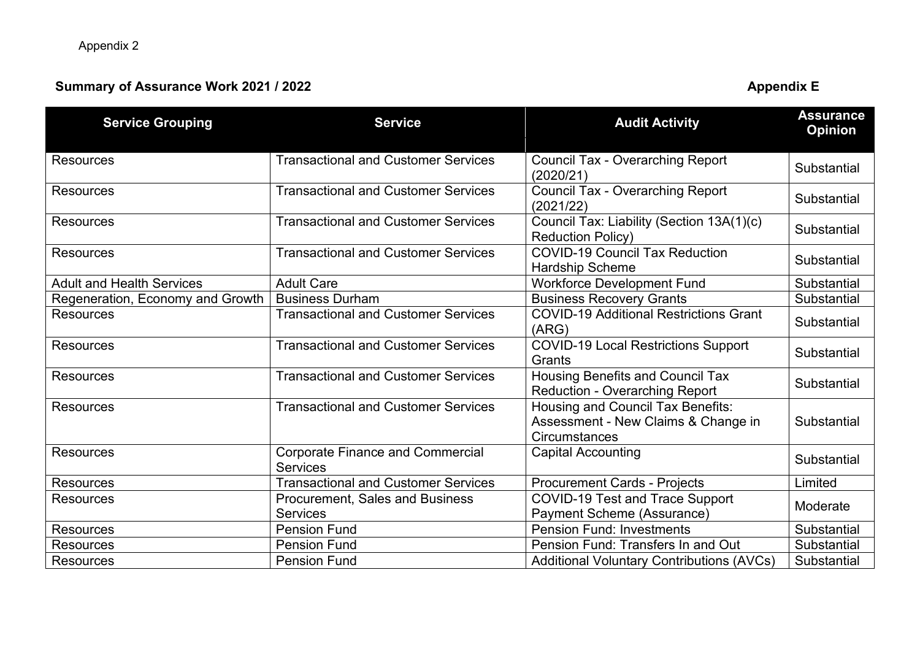# **Summary of Assurance Work 2021 / 2022**

**Appendix E** 

| <b>Service Grouping</b>          | <b>Service</b>                                             | <b>Audit Activity</b>                                                                     | <b>Assurance</b><br><b>Opinion</b> |
|----------------------------------|------------------------------------------------------------|-------------------------------------------------------------------------------------------|------------------------------------|
| <b>Resources</b>                 | <b>Transactional and Customer Services</b>                 | <b>Council Tax - Overarching Report</b><br>(2020/21)                                      | Substantial                        |
| <b>Resources</b>                 | <b>Transactional and Customer Services</b>                 | <b>Council Tax - Overarching Report</b><br>(2021/22)                                      | Substantial                        |
| <b>Resources</b>                 | <b>Transactional and Customer Services</b>                 | Council Tax: Liability (Section 13A(1)(c)<br><b>Reduction Policy)</b>                     | Substantial                        |
| <b>Resources</b>                 | <b>Transactional and Customer Services</b>                 | <b>COVID-19 Council Tax Reduction</b><br>Hardship Scheme                                  | Substantial                        |
| <b>Adult and Health Services</b> | <b>Adult Care</b>                                          | <b>Workforce Development Fund</b>                                                         | Substantial                        |
| Regeneration, Economy and Growth | <b>Business Durham</b>                                     | <b>Business Recovery Grants</b>                                                           | Substantial                        |
| <b>Resources</b>                 | <b>Transactional and Customer Services</b>                 | <b>COVID-19 Additional Restrictions Grant</b><br>(ARG)                                    | Substantial                        |
| <b>Resources</b>                 | <b>Transactional and Customer Services</b>                 | <b>COVID-19 Local Restrictions Support</b><br>Grants                                      | Substantial                        |
| <b>Resources</b>                 | <b>Transactional and Customer Services</b>                 | <b>Housing Benefits and Council Tax</b><br><b>Reduction - Overarching Report</b>          | Substantial                        |
| <b>Resources</b>                 | <b>Transactional and Customer Services</b>                 | Housing and Council Tax Benefits:<br>Assessment - New Claims & Change in<br>Circumstances | Substantial                        |
| <b>Resources</b>                 | <b>Corporate Finance and Commercial</b><br><b>Services</b> | <b>Capital Accounting</b>                                                                 | Substantial                        |
| <b>Resources</b>                 | <b>Transactional and Customer Services</b>                 | <b>Procurement Cards - Projects</b>                                                       | Limited                            |
| <b>Resources</b>                 | <b>Procurement, Sales and Business</b><br><b>Services</b>  | <b>COVID-19 Test and Trace Support</b><br>Payment Scheme (Assurance)                      | Moderate                           |
| <b>Resources</b>                 | <b>Pension Fund</b>                                        | <b>Pension Fund: Investments</b>                                                          | Substantial                        |
| <b>Resources</b>                 | <b>Pension Fund</b>                                        | Pension Fund: Transfers In and Out                                                        | Substantial                        |
| <b>Resources</b>                 | <b>Pension Fund</b>                                        | <b>Additional Voluntary Contributions (AVCs)</b>                                          | Substantial                        |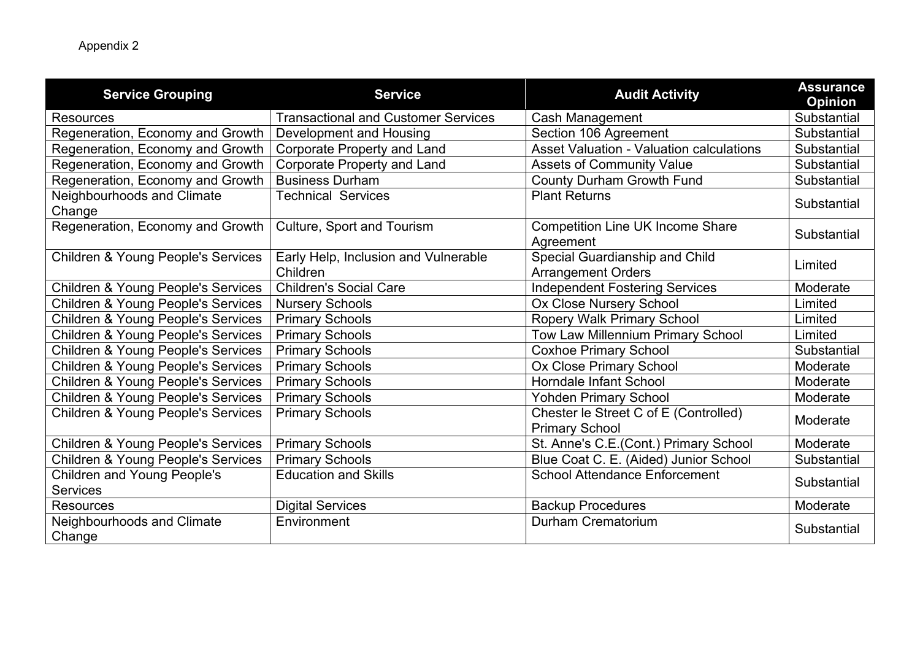| <b>Service Grouping</b>                               | <b>Service</b>                                   | <b>Audit Activity</b>                                       | <b>Assurance</b><br><b>Opinion</b> |
|-------------------------------------------------------|--------------------------------------------------|-------------------------------------------------------------|------------------------------------|
| <b>Resources</b>                                      | <b>Transactional and Customer Services</b>       | Cash Management                                             | Substantial                        |
| Regeneration, Economy and Growth                      | Development and Housing                          | Section 106 Agreement                                       | Substantial                        |
| Regeneration, Economy and Growth                      | <b>Corporate Property and Land</b>               | <b>Asset Valuation - Valuation calculations</b>             | Substantial                        |
| Regeneration, Economy and Growth                      | <b>Corporate Property and Land</b>               | <b>Assets of Community Value</b>                            | Substantial                        |
| Regeneration, Economy and Growth                      | <b>Business Durham</b>                           | <b>County Durham Growth Fund</b>                            | Substantial                        |
| Neighbourhoods and Climate<br>Change                  | <b>Technical Services</b>                        | <b>Plant Returns</b>                                        | Substantial                        |
| Regeneration, Economy and Growth                      | Culture, Sport and Tourism                       | <b>Competition Line UK Income Share</b><br>Agreement        | Substantial                        |
| <b>Children &amp; Young People's Services</b>         | Early Help, Inclusion and Vulnerable<br>Children | Special Guardianship and Child<br><b>Arrangement Orders</b> | Limited                            |
| <b>Children &amp; Young People's Services</b>         | <b>Children's Social Care</b>                    | <b>Independent Fostering Services</b>                       | Moderate                           |
| <b>Children &amp; Young People's Services</b>         | <b>Nursery Schools</b>                           | Ox Close Nursery School                                     | Limited                            |
| <b>Children &amp; Young People's Services</b>         | <b>Primary Schools</b>                           | <b>Ropery Walk Primary School</b>                           | Limited                            |
| <b>Children &amp; Young People's Services</b>         | <b>Primary Schools</b>                           | Tow Law Millennium Primary School                           | Limited                            |
| <b>Children &amp; Young People's Services</b>         | <b>Primary Schools</b>                           | <b>Coxhoe Primary School</b>                                | Substantial                        |
| <b>Children &amp; Young People's Services</b>         | <b>Primary Schools</b>                           | <b>Ox Close Primary School</b>                              | Moderate                           |
| <b>Children &amp; Young People's Services</b>         | <b>Primary Schools</b>                           | Horndale Infant School                                      | Moderate                           |
| <b>Children &amp; Young People's Services</b>         | <b>Primary Schools</b>                           | <b>Yohden Primary School</b>                                | Moderate                           |
| <b>Children &amp; Young People's Services</b>         | <b>Primary Schools</b>                           | Chester le Street C of E (Controlled)                       | Moderate                           |
|                                                       |                                                  | <b>Primary School</b>                                       |                                    |
| <b>Children &amp; Young People's Services</b>         | <b>Primary Schools</b>                           | St. Anne's C.E.(Cont.) Primary School                       | Moderate                           |
| <b>Children &amp; Young People's Services</b>         | <b>Primary Schools</b>                           | Blue Coat C. E. (Aided) Junior School                       | Substantial                        |
| <b>Children and Young People's</b><br><b>Services</b> | <b>Education and Skills</b>                      | <b>School Attendance Enforcement</b>                        | Substantial                        |
| <b>Resources</b>                                      | <b>Digital Services</b>                          | <b>Backup Procedures</b>                                    | Moderate                           |
| Neighbourhoods and Climate<br>Change                  | Environment                                      | Durham Crematorium                                          | Substantial                        |